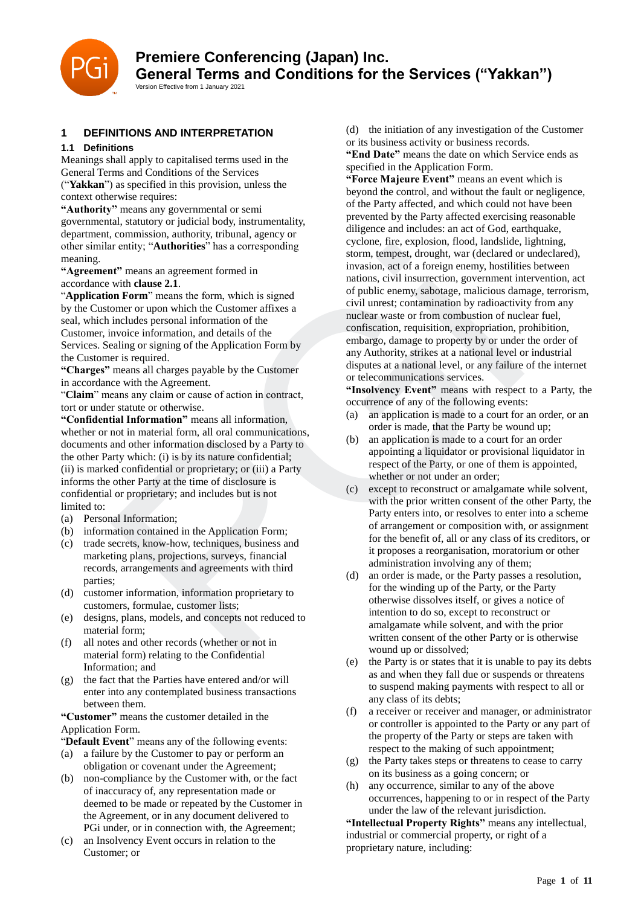

# **1 DEFINITIONS AND INTERPRETATION**

## **1.1 Definitions**

Meanings shall apply to capitalised terms used in the General Terms and Conditions of the Services ("**Yakkan**") as specified in this provision, unless the context otherwise requires:

**"Authority"** means any governmental or semi governmental, statutory or judicial body, instrumentality, department, commission, authority, tribunal, agency or other similar entity; "**Authorities**" has a corresponding meaning.

**"Agreement"** means an agreement formed in accordance with **clause 2.1**.

"**Application Form**" means the form, which is signed by the Customer or upon which the Customer affixes a seal, which includes personal information of the Customer, invoice information, and details of the Services. Sealing or signing of the Application Form by the Customer is required.

**"Charges"** means all charges payable by the Customer in accordance with the Agreement.

"**Claim**" means any claim or cause of action in contract, tort or under statute or otherwise.

**"Confidential Information"** means all information, whether or not in material form, all oral communications. documents and other information disclosed by a Party to the other Party which: (i) is by its nature confidential; (ii) is marked confidential or proprietary; or (iii) a Party informs the other Party at the time of disclosure is confidential or proprietary; and includes but is not limited to:

- (a) Personal Information;
- (b) information contained in the Application Form;
- (c) trade secrets, know-how, techniques, business and marketing plans, projections, surveys, financial records, arrangements and agreements with third parties;
- (d) customer information, information proprietary to customers, formulae, customer lists;
- (e) designs, plans, models, and concepts not reduced to material form;
- (f) all notes and other records (whether or not in material form) relating to the Confidential Information; and
- (g) the fact that the Parties have entered and/or will enter into any contemplated business transactions between them.

**"Customer"** means the customer detailed in the Application Form.

"Default Event" means any of the following events:

- (a) a failure by the Customer to pay or perform an obligation or covenant under the Agreement;
- (b) non-compliance by the Customer with, or the fact of inaccuracy of, any representation made or deemed to be made or repeated by the Customer in the Agreement, or in any document delivered to PGi under, or in connection with, the Agreement;
- (c) an Insolvency Event occurs in relation to the Customer; or

(d) the initiation of any investigation of the Customer or its business activity or business records.

**"End Date"** means the date on which Service ends as specified in the Application Form.

**"Force Majeure Event"** means an event which is beyond the control, and without the fault or negligence, of the Party affected, and which could not have been prevented by the Party affected exercising reasonable diligence and includes: an act of God, earthquake, cyclone, fire, explosion, flood, landslide, lightning, storm, tempest, drought, war (declared or undeclared), invasion, act of a foreign enemy, hostilities between nations, civil insurrection, government intervention, act of public enemy, sabotage, malicious damage, terrorism, civil unrest; contamination by radioactivity from any nuclear waste or from combustion of nuclear fuel, confiscation, requisition, expropriation, prohibition, embargo, damage to property by or under the order of any Authority, strikes at a national level or industrial disputes at a national level, or any failure of the internet or telecommunications services. The explosion, then the same and strengtheneon and strengtheneon and strengtheneon and strengtheneon and the means an agreement formed in the case of a forest and strengtheneon and only the means of a forest and strengthen

**"Insolvency Event"** means with respect to a Party, the occurrence of any of the following events:

- (a) an application is made to a court for an order, or an order is made, that the Party be wound up;
- (b) an application is made to a court for an order appointing a liquidator or provisional liquidator in respect of the Party, or one of them is appointed, whether or not under an order;
- (c) except to reconstruct or amalgamate while solvent, with the prior written consent of the other Party, the Party enters into, or resolves to enter into a scheme of arrangement or composition with, or assignment for the benefit of, all or any class of its creditors, or it proposes a reorganisation, moratorium or other administration involving any of them;
- (d) an order is made, or the Party passes a resolution, for the winding up of the Party, or the Party otherwise dissolves itself, or gives a notice of intention to do so, except to reconstruct or amalgamate while solvent, and with the prior written consent of the other Party or is otherwise wound up or dissolved;
- (e) the Party is or states that it is unable to pay its debts as and when they fall due or suspends or threatens to suspend making payments with respect to all or any class of its debts;
- (f) a receiver or receiver and manager, or administrator or controller is appointed to the Party or any part of the property of the Party or steps are taken with respect to the making of such appointment;
- (g) the Party takes steps or threatens to cease to carry on its business as a going concern; or
- (h) any occurrence, similar to any of the above occurrences, happening to or in respect of the Party under the law of the relevant jurisdiction.

**"Intellectual Property Rights"** means any intellectual, industrial or commercial property, or right of a proprietary nature, including: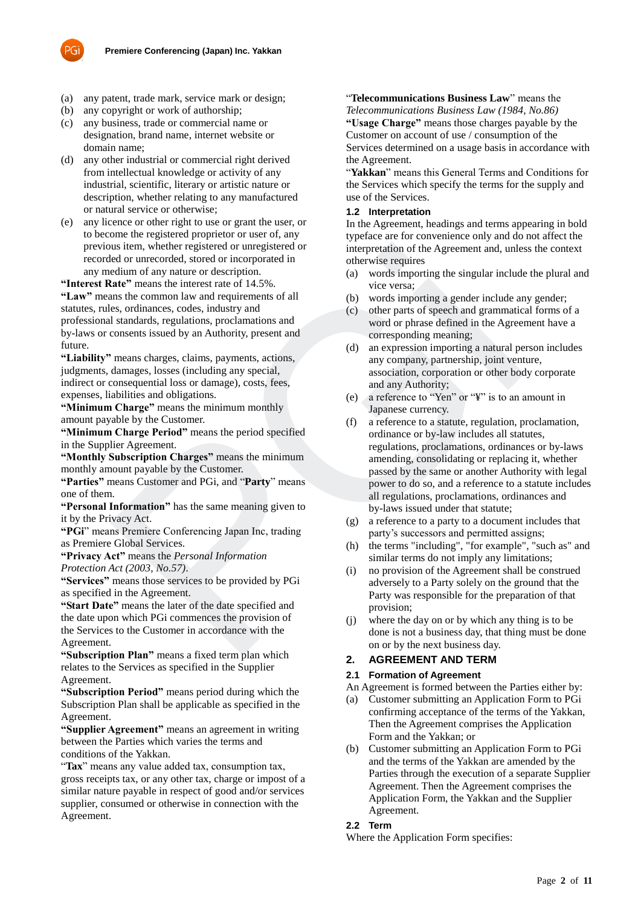

- (a) any patent, trade mark, service mark or design;
- (b) any copyright or work of authorship;
- (c) any business, trade or commercial name or designation, brand name, internet website or domain name;
- (d) any other industrial or commercial right derived from intellectual knowledge or activity of any industrial, scientific, literary or artistic nature or description, whether relating to any manufactured or natural service or otherwise;
- (e) any licence or other right to use or grant the user, or to become the registered proprietor or user of, any previous item, whether registered or unregistered or recorded or unrecorded, stored or incorporated in any medium of any nature or description.

**"Interest Rate"** means the interest rate of 14.5%. **"Law"** means the common law and requirements of all statutes, rules, ordinances, codes, industry and professional standards, regulations, proclamations and by-laws or consents issued by an Authority, present and future.

**"Liability"** means charges, claims, payments, actions, judgments, damages, losses (including any special, indirect or consequential loss or damage), costs, fees, expenses, liabilities and obligations.

**"Minimum Charge"** means the minimum monthly amount payable by the Customer.

**"Minimum Charge Period"** means the period specified in the Supplier Agreement.

**"Monthly Subscription Charges"** means the minimum monthly amount payable by the Customer.

**"Parties"** means Customer and PGi, and "**Party**" means one of them.

**"Personal Information"** has the same meaning given to it by the Privacy Act.

**"PGi**" means Premiere Conferencing Japan Inc, trading as Premiere Global Services.

**"Privacy Act"** means the *Personal Information Protection Act (2003, No.57)*.

**"Services"** means those services to be provided by PGi

as specified in the Agreement.

**"Start Date"** means the later of the date specified and the date upon which PGi commences the provision of the Services to the Customer in accordance with the Agreement.

**"Subscription Plan"** means a fixed term plan which relates to the Services as specified in the Supplier Agreement.

**"Subscription Period"** means period during which the Subscription Plan shall be applicable as specified in the Agreement.

**"Supplier Agreement"** means an agreement in writing between the Parties which varies the terms and conditions of the Yakkan.

"Tax" means any value added tax, consumption tax, gross receipts tax, or any other tax, charge or impost of a similar nature payable in respect of good and/or services supplier, consumed or otherwise in connection with the Agreement.

### "**Telecommunications Business Law**" means the

*Telecommunications Business Law (1984, No.86)* **"Usage Charge"** means those charges payable by the Customer on account of use / consumption of the Services determined on a usage basis in accordance with the Agreement.

"**Yakkan**" means this General Terms and Conditions for the Services which specify the terms for the supply and use of the Services.

#### **1.2 Interpretation**

In the Agreement, headings and terms appearing in bold typeface are for convenience only and do not affect the interpretation of the Agreement and, unless the context otherwise requires

- (a) words importing the singular include the plural and vice versa;
- (b) words importing a gender include any gender;
- (c) other parts of speech and grammatical forms of a word or phrase defined in the Agreement have a corresponding meaning;
- (d) an expression importing a natural person includes any company, partnership, joint venture, association, corporation or other body corporate and any Authority;
- (e) a reference to "Yen" or "¥" is to an amount in Japanese currency.
- (f) a reference to a statute, regulation, proclamation, ordinance or by-law includes all statutes, regulations, proclamations, ordinances or by-laws amending, consolidating or replacing it, whether passed by the same or another Authority with legal power to do so, and a reference to a statute includes all regulations, proclamations, ordinances and by-laws issued under that statute; us in wheher registered or unrecorded, siored or unrecorded, siored or incorporated or<br>
edium of any nature or description.<br>
Edium of any nature or description.<br>
Edium of any nature or description.<br>
Sec, cordinance, codes,
	- (g) a reference to a party to a document includes that party's successors and permitted assigns;
	- (h) the terms "including", "for example", "such as" and similar terms do not imply any limitations;
	- (i) no provision of the Agreement shall be construed adversely to a Party solely on the ground that the Party was responsible for the preparation of that provision;
	- (j) where the day on or by which any thing is to be done is not a business day, that thing must be done on or by the next business day.

## **2. AGREEMENT AND TERM**

## **2.1 Formation of Agreement**

An Agreement is formed between the Parties either by:

- (a) Customer submitting an Application Form to PGi confirming acceptance of the terms of the Yakkan, Then the Agreement comprises the Application Form and the Yakkan; or
- (b) Customer submitting an Application Form to PGi and the terms of the Yakkan are amended by the Parties through the execution of a separate Supplier Agreement. Then the Agreement comprises the Application Form, the Yakkan and the Supplier Agreement.

## **2.2 Term**

Where the Application Form specifies: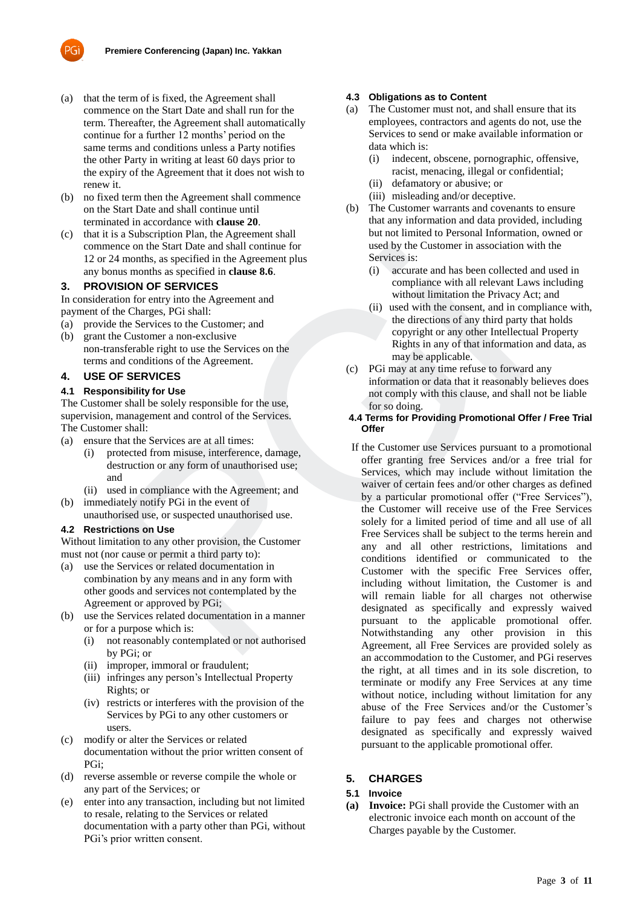

- (a) that the term of is fixed, the Agreement shall commence on the Start Date and shall run for the term. Thereafter, the Agreement shall automatically continue for a further 12 months' period on the same terms and conditions unless a Party notifies the other Party in writing at least 60 days prior to the expiry of the Agreement that it does not wish to renew it.
- (b) no fixed term then the Agreement shall commence on the Start Date and shall continue until terminated in accordance with **clause 20**.
- (c) that it is a Subscription Plan, the Agreement shall commence on the Start Date and shall continue for 12 or 24 months, as specified in the Agreement plus any bonus months as specified in **clause 8.6**.

### **3. PROVISION OF SERVICES**

In consideration for entry into the Agreement and payment of the Charges, PGi shall:

- (a) provide the Services to the Customer; and
- (b) grant the Customer a non-exclusive non-transferable right to use the Services on the terms and conditions of the Agreement.

# **4. USE OF SERVICES**

### **4.1 Responsibility for Use**

The Customer shall be solely responsible for the use, supervision, management and control of the Services. The Customer shall:

- (a) ensure that the Services are at all times:
	- (i) protected from misuse, interference, damage, destruction or any form of unauthorised use; and
- (ii) used in compliance with the Agreement; and (b) immediately notify PGi in the event of
- unauthorised use, or suspected unauthorised use.

### **4.2 Restrictions on Use**

Without limitation to any other provision, the Customer must not (nor cause or permit a third party to):

- (a) use the Services or related documentation in combination by any means and in any form with other goods and services not contemplated by the Agreement or approved by PGi;
- (b) use the Services related documentation in a manner or for a purpose which is:
	- (i) not reasonably contemplated or not authorised by PGi; or
	- (ii) improper, immoral or fraudulent;
	- (iii) infringes any person's Intellectual Property Rights; or
	- (iv) restricts or interferes with the provision of the Services by PGi to any other customers or users.
- (c) modify or alter the Services or related documentation without the prior written consent of PGi;
- (d) reverse assemble or reverse compile the whole or any part of the Services; or
- (e) enter into any transaction, including but not limited to resale, relating to the Services or related documentation with a party other than PGi, without PGi's prior written consent.

### **4.3 Obligations as to Content**

- (a) The Customer must not, and shall ensure that its employees, contractors and agents do not, use the Services to send or make available information or data which is:
	- (i) indecent, obscene, pornographic, offensive, racist, menacing, illegal or confidential;
	- (ii) defamatory or abusive; or
	- (iii) misleading and/or deceptive.
- (b) The Customer warrants and covenants to ensure that any information and data provided, including but not limited to Personal Information, owned or used by the Customer in association with the Services is:
	- (i) accurate and has been collected and used in compliance with all relevant Laws including without limitation the Privacy Act; and
	- (ii) used with the consent, and in compliance with, the directions of any third party that holds copyright or any other Intellectual Property Rights in any of that information and data, as may be applicable.
- (c) PGi may at any time refuse to forward any information or data that it reasonably believes does not comply with this clause, and shall not be liable for so doing.

### **4.4 Terms for Providing Promotional Offer / Free Trial Offer**

If the Customer use Services pursuant to a promotional offer granting free Services and/or a free trial for Services, which may include without limitation the waiver of certain fees and/or other charges as defined by a particular promotional offer ("Free Services"), the Customer will receive use of the Free Services solely for a limited period of time and all use of all Free Services shall be subject to the terms herein and any and all other restrictions, limitations and conditions identified or communicated to the Customer with the specific Free Services offer, including without limitation, the Customer is and will remain liable for all charges not otherwise designated as specifically and expressly waived pursuant to the applicable promotional offer. Notwithstanding any other provision in this Agreement, all Free Services are provided solely as an accommodation to the Customer, and PGi reserves the right, at all times and in its sole discretion, to terminate or modify any Free Services at any time without notice, including without limitation for any abuse of the Free Services and/or the Customer's failure to pay fees and charges not otherwise designated as specifically and expressly waived pursuant to the applicable promotional offer. ence on the Start Date and shall continue for the Street<br>
24 months, as specified in the Agreement plus<br>
24 months, as specified in the Agreement plus<br>
24 months as specified in clause 8.6.<br>
(i) accurate and has been colle

## **5. CHARGES**

#### **5.1 Invoice**

**(a) Invoice:** PGi shall provide the Customer with an electronic invoice each month on account of the Charges payable by the Customer.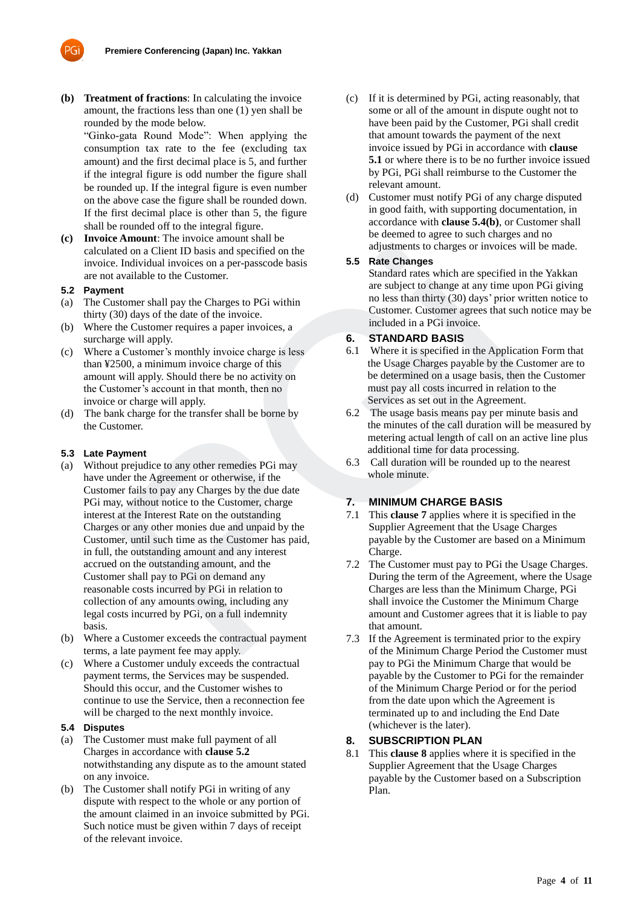

"Ginko-gata Round Mode": When applying the consumption tax rate to the fee (excluding tax amount) and the first decimal place is 5, and further if the integral figure is odd number the figure shall be rounded up. If the integral figure is even number on the above case the figure shall be rounded down. If the first decimal place is other than 5, the figure shall be rounded off to the integral figure.

**(c) Invoice Amount**: The invoice amount shall be calculated on a Client ID basis and specified on the invoice. Individual invoices on a per-passcode basis are not available to the Customer.

### **5.2 Payment**

- (a) The Customer shall pay the Charges to PGi within thirty (30) days of the date of the invoice.
- (b) Where the Customer requires a paper invoices, a surcharge will apply.
- (c) Where a Customer's monthly invoice charge is less than ¥2500, a minimum invoice charge of this amount will apply. Should there be no activity on the Customer's account in that month, then no invoice or charge will apply.
- (d) The bank charge for the transfer shall be borne by the Customer.

### **5.3 Late Payment**

- (a) Without prejudice to any other remedies PGi may have under the Agreement or otherwise, if the Customer fails to pay any Charges by the due date PGi may, without notice to the Customer, charge interest at the Interest Rate on the outstanding Charges or any other monies due and unpaid by the Customer, until such time as the Customer has paid, in full, the outstanding amount and any interest accrued on the outstanding amount, and the Customer shall pay to PGi on demand any reasonable costs incurred by PGi in relation to collection of any amounts owing, including any legal costs incurred by PGi, on a full indemnity basis. and on a Client ID basis and specified on the<br>
adisom and client ID basis and specified on the<br>
taxe Changes or invoices we<br>
are cultural invoices on a per-puscode basis<br>
star and the culture.<br>
Starting at the culture tran
- (b) Where a Customer exceeds the contractual payment terms, a late payment fee may apply.
- (c) Where a Customer unduly exceeds the contractual payment terms, the Services may be suspended. Should this occur, and the Customer wishes to continue to use the Service, then a reconnection fee will be charged to the next monthly invoice.

# **5.4 Disputes**

- (a) The Customer must make full payment of all Charges in accordance with **clause 5.2** notwithstanding any dispute as to the amount stated on any invoice.
- (b) The Customer shall notify PGi in writing of any dispute with respect to the whole or any portion of the amount claimed in an invoice submitted by PGi. Such notice must be given within 7 days of receipt of the relevant invoice.
- (c) If it is determined by PGi, acting reasonably, that some or all of the amount in dispute ought not to have been paid by the Customer, PGi shall credit that amount towards the payment of the next invoice issued by PGi in accordance with **clause 5.1** or where there is to be no further invoice issued by PGi, PGi shall reimburse to the Customer the relevant amount.
- (d) Customer must notify PGi of any charge disputed in good faith, with supporting documentation, in accordance with **clause 5.4(b)**, or Customer shall be deemed to agree to such charges and no adjustments to charges or invoices will be made.

### **5.5 Rate Changes**

Standard rates which are specified in the Yakkan are subject to change at any time upon PGi giving no less than thirty (30) days' prior written notice to Customer. Customer agrees that such notice may be included in a PGi invoice.

### **6. STANDARD BASIS**

- 6.1 Where it is specified in the Application Form that the Usage Charges payable by the Customer are to be determined on a usage basis, then the Customer must pay all costs incurred in relation to the Services as set out in the Agreement.
- 6.2 The usage basis means pay per minute basis and the minutes of the call duration will be measured by metering actual length of call on an active line plus additional time for data processing.
- 6.3 Call duration will be rounded up to the nearest whole minute.

# **7. MINIMUM CHARGE BASIS**

- 7.1 This **clause 7** applies where it is specified in the Supplier Agreement that the Usage Charges payable by the Customer are based on a Minimum Charge.
- 7.2 The Customer must pay to PGi the Usage Charges. During the term of the Agreement, where the Usage Charges are less than the Minimum Charge, PGi shall invoice the Customer the Minimum Charge amount and Customer agrees that it is liable to pay that amount.
- 7.3 If the Agreement is terminated prior to the expiry of the Minimum Charge Period the Customer must pay to PGi the Minimum Charge that would be payable by the Customer to PGi for the remainder of the Minimum Charge Period or for the period from the date upon which the Agreement is terminated up to and including the End Date (whichever is the later).

## **8. SUBSCRIPTION PLAN**

8.1 This **clause 8** applies where it is specified in the Supplier Agreement that the Usage Charges payable by the Customer based on a Subscription Plan.

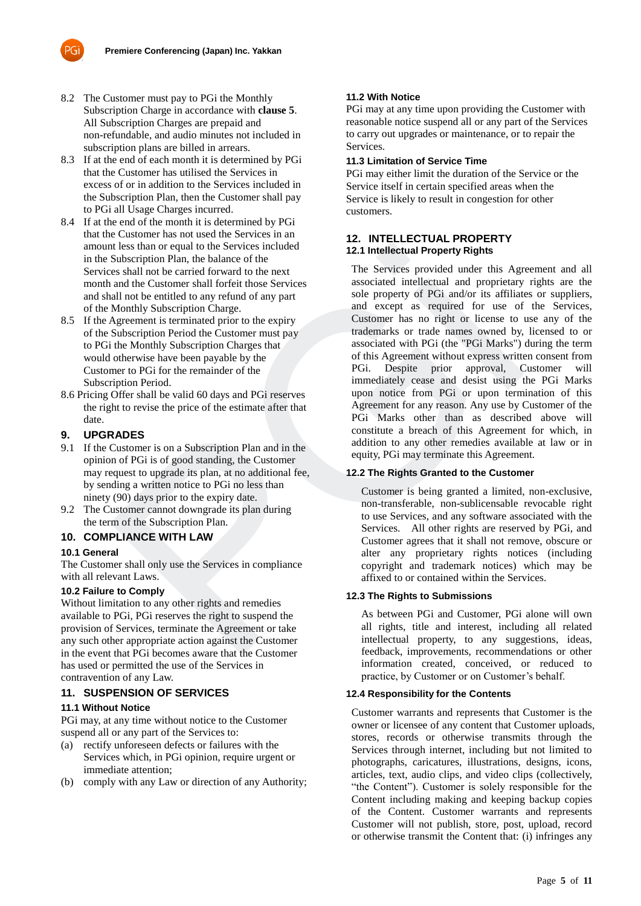

- 8.2 The Customer must pay to PGi the Monthly Subscription Charge in accordance with **clause 5**. All Subscription Charges are prepaid and non-refundable, and audio minutes not included in subscription plans are billed in arrears.
- 8.3 If at the end of each month it is determined by PGi that the Customer has utilised the Services in excess of or in addition to the Services included in the Subscription Plan, then the Customer shall pay to PGi all Usage Charges incurred.
- 8.4 If at the end of the month it is determined by PGi that the Customer has not used the Services in an amount less than or equal to the Services included in the Subscription Plan, the balance of the Services shall not be carried forward to the next month and the Customer shall forfeit those Services and shall not be entitled to any refund of any part of the Monthly Subscription Charge.
- 8.5 If the Agreement is terminated prior to the expiry of the Subscription Period the Customer must pay to PGi the Monthly Subscription Charges that would otherwise have been payable by the Customer to PGi for the remainder of the Subscription Period.
- 8.6 Pricing Offer shall be valid 60 days and PGi reserves the right to revise the price of the estimate after that date.

## **9. UPGRADES**

- 9.1 If the Customer is on a Subscription Plan and in the opinion of PGi is of good standing, the Customer may request to upgrade its plan, at no additional fee, by sending a written notice to PGi no less than ninety (90) days prior to the expiry date.
- 9.2 The Customer cannot downgrade its plan during the term of the Subscription Plan.

## **10. COMPLIANCE WITH LAW**

## **10.1 General**

The Customer shall only use the Services in compliance with all relevant Laws.

## **10.2 Failure to Comply**

Without limitation to any other rights and remedies available to PGi, PGi reserves the right to suspend the provision of Services, terminate the Agreement or take any such other appropriate action against the Customer in the event that PGi becomes aware that the Customer has used or permitted the use of the Services in contravention of any Law.

## **11. SUSPENSION OF SERVICES**

#### **11.1 Without Notice**

PGi may, at any time without notice to the Customer suspend all or any part of the Services to:

- (a) rectify unforeseen defects or failures with the Services which, in PGi opinion, require urgent or immediate attention;
- (b) comply with any Law or direction of any Authority;

### **11.2 With Notice**

PGi may at any time upon providing the Customer with reasonable notice suspend all or any part of the Services to carry out upgrades or maintenance, or to repair the Services.

### **11.3 Limitation of Service Time**

PGi may either limit the duration of the Service or the Service itself in certain specified areas when the Service is likely to result in congestion for other customers.

### **12. INTELLECTUAL PROPERTY 12.1 Intellectual Property Rights**

The Services provided under this Agreement and all associated intellectual and proprietary rights are the sole property of PGi and/or its affiliates or suppliers, and except as required for use of the Services, Customer has no right or license to use any of the trademarks or trade names owned by, licensed to or associated with PGi (the "PGi Marks") during the term of this Agreement without express written consent from PGi. Despite prior approval, Customer will immediately cease and desist using the PGi Marks upon notice from PGi or upon termination of this Agreement for any reason. Any use by Customer of the PGi Marks other than as described above will constitute a breach of this Agreement for which, in addition to any other remedies available at law or in equity, PGi may terminate this Agreement. It less than or equal to the Strvices include the state and the Structure in the Structure and the Customer shall not be earnied forward to the next and except of the state of the state of the state of the state of the sta

## **12.2 The Rights Granted to the Customer**

Customer is being granted a limited, non-exclusive, non-transferable, non-sublicensable revocable right to use Services, and any software associated with the Services. All other rights are reserved by PGi, and Customer agrees that it shall not remove, obscure or alter any proprietary rights notices (including copyright and trademark notices) which may be affixed to or contained within the Services.

#### **12.3 The Rights to Submissions**

As between PGi and Customer, PGi alone will own all rights, title and interest, including all related intellectual property, to any suggestions, ideas, feedback, improvements, recommendations or other information created, conceived, or reduced to practice, by Customer or on Customer's behalf.

#### **12.4 Responsibility for the Contents**

Customer warrants and represents that Customer is the owner or licensee of any content that Customer uploads, stores, records or otherwise transmits through the Services through internet, including but not limited to photographs, caricatures, illustrations, designs, icons, articles, text, audio clips, and video clips (collectively, "the Content"). Customer is solely responsible for the Content including making and keeping backup copies of the Content. Customer warrants and represents Customer will not publish, store, post, upload, record or otherwise transmit the Content that: (i) infringes any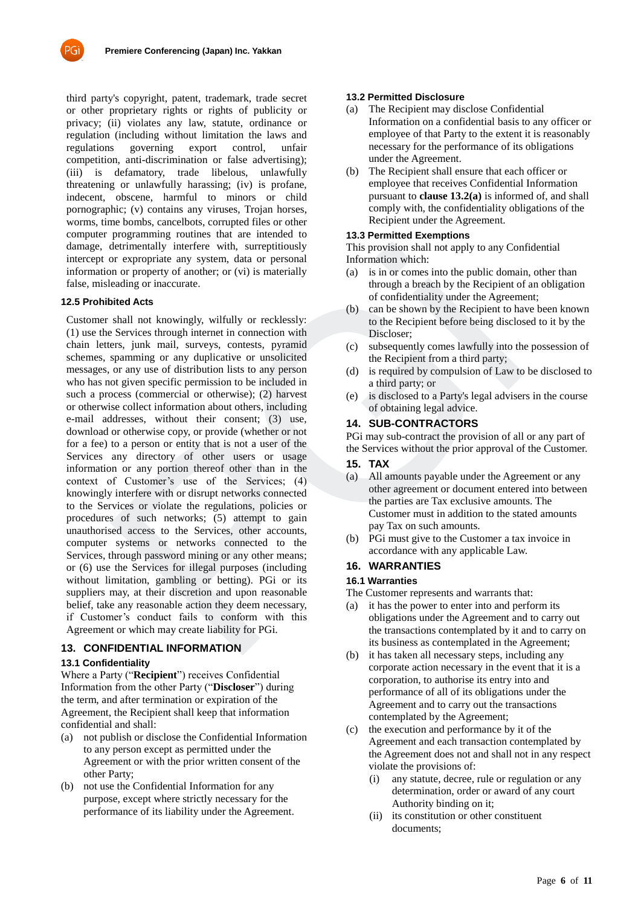

third party's copyright, patent, trademark, trade secret or other proprietary rights or rights of publicity or privacy; (ii) violates any law, statute, ordinance or regulation (including without limitation the laws and regulations governing export control, unfair competition, anti-discrimination or false advertising); (iii) is defamatory, trade libelous, unlawfully threatening or unlawfully harassing; (iv) is profane, indecent, obscene, harmful to minors or child pornographic; (v) contains any viruses, Trojan horses, worms, time bombs, cancelbots, corrupted files or other computer programming routines that are intended to damage, detrimentally interfere with, surreptitiously intercept or expropriate any system, data or personal information or property of another; or (vi) is materially false, misleading or inaccurate.

### **12.5 Prohibited Acts**

Customer shall not knowingly, wilfully or recklessly: (1) use the Services through internet in connection with chain letters, junk mail, surveys, contests, pyramid schemes, spamming or any duplicative or unsolicited messages, or any use of distribution lists to any person who has not given specific permission to be included in such a process (commercial or otherwise); (2) harvest or otherwise collect information about others, including e-mail addresses, without their consent; (3) use, download or otherwise copy, or provide (whether or not for a fee) to a person or entity that is not a user of the Services any directory of other users or usage information or any portion thereof other than in the context of Customer's use of the Services; (4) knowingly interfere with or disrupt networks connected to the Services or violate the regulations, policies or procedures of such networks; (5) attempt to gain unauthorised access to the Services, other accounts, computer systems or networks connected to the Services, through password mining or any other means; or (6) use the Services for illegal purposes (including without limitation, gambling or betting). PGi or its suppliers may, at their discretion and upon reasonable belief, take any reasonable action they deem necessary, if Customer's conduct fails to conform with this Agreement or which may create liability for PGi. derimentally interfere with, surreptionally increases to the Services with an experimental into apply to any Control or property of another, or (vi) is materially (a) is in or cones into the public domain of property of a

#### **13. CONFIDENTIAL INFORMATION**

#### **13.1 Confidentiality**

Where a Party ("**Recipient**") receives Confidential Information from the other Party ("**Discloser**") during the term, and after termination or expiration of the Agreement, the Recipient shall keep that information confidential and shall:

- (a) not publish or disclose the Confidential Information to any person except as permitted under the Agreement or with the prior written consent of the other Party;
- (b) not use the Confidential Information for any purpose, except where strictly necessary for the performance of its liability under the Agreement.

#### **13.2 Permitted Disclosure**

- (a) The Recipient may disclose Confidential Information on a confidential basis to any officer or employee of that Party to the extent it is reasonably necessary for the performance of its obligations under the Agreement.
- (b) The Recipient shall ensure that each officer or employee that receives Confidential Information pursuant to **clause 13.2(a)** is informed of, and shall comply with, the confidentiality obligations of the Recipient under the Agreement.

#### **13.3 Permitted Exemptions**

This provision shall not apply to any Confidential Information which:

- (a) is in or comes into the public domain, other than through a breach by the Recipient of an obligation of confidentiality under the Agreement;
- (b) can be shown by the Recipient to have been known to the Recipient before being disclosed to it by the Discloser;
- (c) subsequently comes lawfully into the possession of the Recipient from a third party;
- (d) is required by compulsion of Law to be disclosed to a third party; or
- (e) is disclosed to a Party's legal advisers in the course of obtaining legal advice.

### **14. SUB-CONTRACTORS**

PGi may sub-contract the provision of all or any part of the Services without the prior approval of the Customer.

#### **15. TAX**

- (a) All amounts payable under the Agreement or any other agreement or document entered into between the parties are Tax exclusive amounts. The Customer must in addition to the stated amounts pay Tax on such amounts.
- (b) PGi must give to the Customer a tax invoice in accordance with any applicable Law.

## **16. WARRANTIES**

#### **16.1 Warranties**

The Customer represents and warrants that:

- (a) it has the power to enter into and perform its obligations under the Agreement and to carry out the transactions contemplated by it and to carry on its business as contemplated in the Agreement;
- (b) it has taken all necessary steps, including any corporate action necessary in the event that it is a corporation, to authorise its entry into and performance of all of its obligations under the Agreement and to carry out the transactions contemplated by the Agreement;
- (c) the execution and performance by it of the Agreement and each transaction contemplated by the Agreement does not and shall not in any respect violate the provisions of:
	- (i) any statute, decree, rule or regulation or any determination, order or award of any court Authority binding on it;
	- (ii) its constitution or other constituent documents;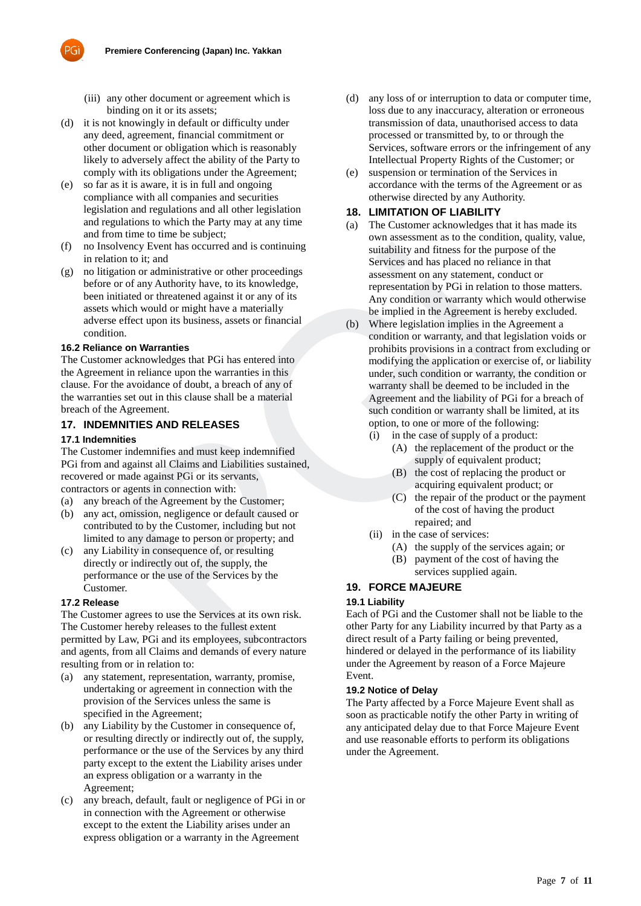

- (iii) any other document or agreement which is binding on it or its assets;
- (d) it is not knowingly in default or difficulty under any deed, agreement, financial commitment or other document or obligation which is reasonably likely to adversely affect the ability of the Party to comply with its obligations under the Agreement;
- (e) so far as it is aware, it is in full and ongoing compliance with all companies and securities legislation and regulations and all other legislation and regulations to which the Party may at any time and from time to time be subject;
- (f) no Insolvency Event has occurred and is continuing in relation to it; and
- (g) no litigation or administrative or other proceedings before or of any Authority have, to its knowledge, been initiated or threatened against it or any of its assets which would or might have a materially adverse effect upon its business, assets or financial condition.

### **16.2 Reliance on Warranties**

The Customer acknowledges that PGi has entered into the Agreement in reliance upon the warranties in this clause. For the avoidance of doubt, a breach of any of the warranties set out in this clause shall be a material breach of the Agreement.

## **17. INDEMNITIES AND RELEASES**

#### **17.1 Indemnities**

The Customer indemnifies and must keep indemnified PGi from and against all Claims and Liabilities sustained, recovered or made against PGi or its servants, contractors or agents in connection with:

- (a) any breach of the Agreement by the Customer;
- (b) any act, omission, negligence or default caused or contributed to by the Customer, including but not limited to any damage to person or property; and
- (c) any Liability in consequence of, or resulting directly or indirectly out of, the supply, the performance or the use of the Services by the Customer.

#### **17.2 Release**

The Customer agrees to use the Services at its own risk. The Customer hereby releases to the fullest extent permitted by Law, PGi and its employees, subcontractors and agents, from all Claims and demands of every nature resulting from or in relation to:

- (a) any statement, representation, warranty, promise, undertaking or agreement in connection with the provision of the Services unless the same is specified in the Agreement;
- (b) any Liability by the Customer in consequence of, or resulting directly or indirectly out of, the supply, performance or the use of the Services by any third party except to the extent the Liability arises under an express obligation or a warranty in the Agreement;
- (c) any breach, default, fault or negligence of PGi in or in connection with the Agreement or otherwise except to the extent the Liability arises under an express obligation or a warranty in the Agreement
- (d) any loss of or interruption to data or computer time, loss due to any inaccuracy, alteration or erroneous transmission of data, unauthorised access to data processed or transmitted by, to or through the Services, software errors or the infringement of any Intellectual Property Rights of the Customer; or
- (e) suspension or termination of the Services in accordance with the terms of the Agreement or as otherwise directed by any Authority.

## **18. LIMITATION OF LIABILITY**

- (a) The Customer acknowledges that it has made its own assessment as to the condition, quality, value, suitability and fitness for the purpose of the Services and has placed no reliance in that assessment on any statement, conduct or representation by PGi in relation to those matters. Any condition or warranty which would otherwise be implied in the Agreement is hereby excluded.
- (b) Where legislation implies in the Agreement a condition or warranty, and that legislation voids or prohibits provisions in a contract from excluding or modifying the application or exercise of, or liability under, such condition or warranty, the condition or warranty shall be deemed to be included in the Agreement and the liability of PGi for a breach of such condition or warranty shall be limited, at its option, to one or more of the following: olvency Event has occurred and is continuing<br>
suitability and fitness for the purpose<br>
to to tit, and<br>
or of any Authority have, to its knowledge,<br>
sesessment on any statement, conducting the conduct of the trace dagatast
	- (i) in the case of supply of a product: (A) the replacement of the product or the
		- supply of equivalent product; (B) the cost of replacing the product or acquiring equivalent product; or
		- (C) the repair of the product or the payment of the cost of having the product repaired; and
	- (ii) in the case of services:
		- (A) the supply of the services again; or
		- (B) payment of the cost of having the services supplied again.

# **19. FORCE MAJEURE**

#### **19.1 Liability**

Each of PGi and the Customer shall not be liable to the other Party for any Liability incurred by that Party as a direct result of a Party failing or being prevented, hindered or delayed in the performance of its liability under the Agreement by reason of a Force Majeure Event.

#### **19.2 Notice of Delay**

The Party affected by a Force Majeure Event shall as soon as practicable notify the other Party in writing of any anticipated delay due to that Force Majeure Event and use reasonable efforts to perform its obligations under the Agreement.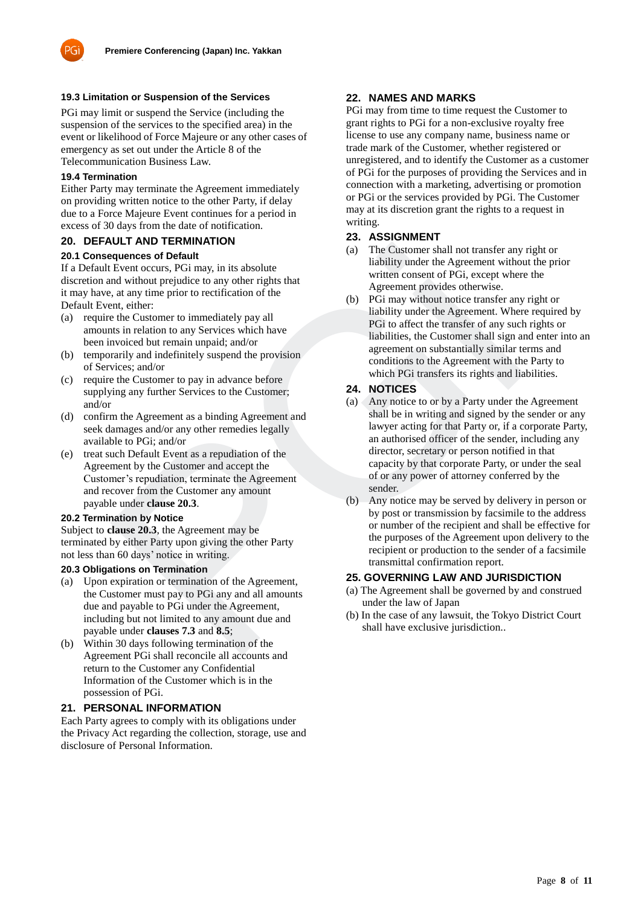

### **19.3 Limitation or Suspension of the Services**

PGi may limit or suspend the Service (including the suspension of the services to the specified area) in the event or likelihood of Force Majeure or any other cases of emergency as set out under the Article 8 of the Telecommunication Business Law.

### **19.4 Termination**

Either Party may terminate the Agreement immediately on providing written notice to the other Party, if delay due to a Force Majeure Event continues for a period in excess of 30 days from the date of notification.

### **20. DEFAULT AND TERMINATION**

#### **20.1 Consequences of Default**

If a Default Event occurs, PGi may, in its absolute discretion and without prejudice to any other rights that it may have, at any time prior to rectification of the Default Event, either:

- (a) require the Customer to immediately pay all amounts in relation to any Services which have been invoiced but remain unpaid; and/or
- (b) temporarily and indefinitely suspend the provision of Services; and/or
- (c) require the Customer to pay in advance before supplying any further Services to the Customer; and/or
- (d) confirm the Agreement as a binding Agreement and seek damages and/or any other remedies legally available to PGi; and/or
- (e) treat such Default Event as a repudiation of the Agreement by the Customer and accept the Customer's repudiation, terminate the Agreement and recover from the Customer any amount payable under **clause 20.3**.

#### **20.2 Termination by Notice**

Subject to **clause 20.3**, the Agreement may be terminated by either Party upon giving the other Party not less than 60 days' notice in writing.

#### **20.3 Obligations on Termination**

- (a) Upon expiration or termination of the Agreement, the Customer must pay to PGi any and all amounts due and payable to PGi under the Agreement, including but not limited to any amount due and payable under **clauses 7.3** and **8.5**;
- (b) Within 30 days following termination of the Agreement PGi shall reconcile all accounts and return to the Customer any Confidential Information of the Customer which is in the possession of PGi.

#### **21. PERSONAL INFORMATION**

Each Party agrees to comply with its obligations under the Privacy Act regarding the collection, storage, use and disclosure of Personal Information.

# **22. NAMES AND MARKS**

PGi may from time to time request the Customer to grant rights to PGi for a non-exclusive royalty free license to use any company name, business name or trade mark of the Customer, whether registered or unregistered, and to identify the Customer as a customer of PGi for the purposes of providing the Services and in connection with a marketing, advertising or promotion or PGi or the services provided by PGi. The Customer may at its discretion grant the rights to a request in writing.

### **23. ASSIGNMENT**

- (a) The Customer shall not transfer any right or liability under the Agreement without the prior written consent of PGi, except where the Agreement provides otherwise.
- (b) PGi may without notice transfer any right or liability under the Agreement. Where required by PGi to affect the transfer of any such rights or liabilities, the Customer shall sign and enter into an agreement on substantially similar terms and conditions to the Agreement with the Party to which PGi transfers its rights and liabilities.

### **24. NOTICES**

- (a) Any notice to or by a Party under the Agreement shall be in writing and signed by the sender or any lawyer acting for that Party or, if a corporate Party, an authorised officer of the sender, including any director, secretary or person notified in that capacity by that corporate Party, or under the seal of or any power of attorney conferred by the sender. Curve Coreus, PGI may in its absolute<br>
Event occurs, PGI may in its absolute<br>
Event occurs, PGI may in its absolute<br>
Event occurs (and without prejudice to any other rights that<br>
and without prejudice to any other rights t
	- (b) Any notice may be served by delivery in person or by post or transmission by facsimile to the address or number of the recipient and shall be effective for the purposes of the Agreement upon delivery to the recipient or production to the sender of a facsimile transmittal confirmation report.

#### **25. GOVERNING LAW AND JURISDICTION**

- (a) The Agreement shall be governed by and construed under the law of Japan
- (b) In the case of any lawsuit, the Tokyo District Court shall have exclusive jurisdiction..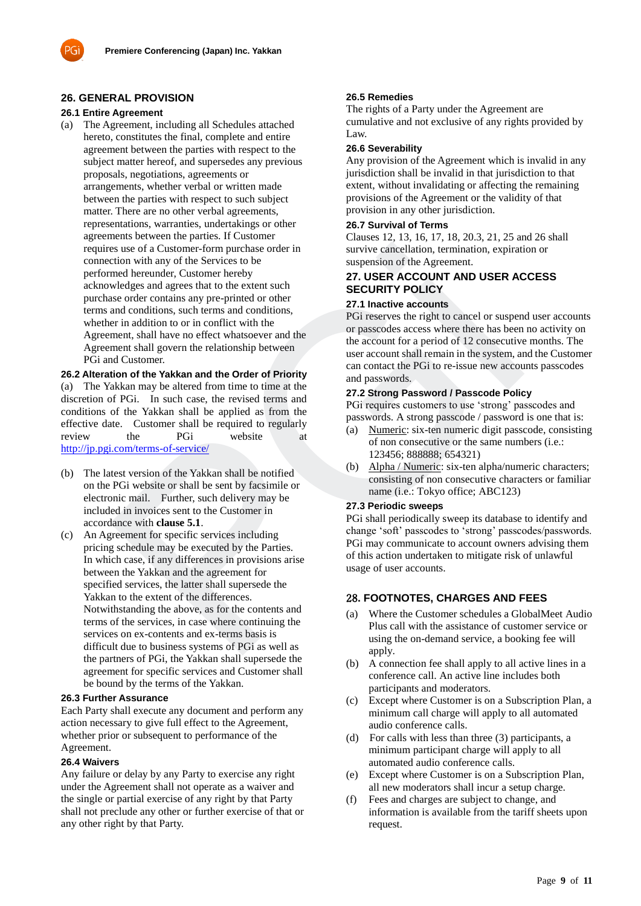## **26. GENERAL PROVISION**

### **26.1 Entire Agreement**

(a) The Agreement, including all Schedules attached hereto, constitutes the final, complete and entire agreement between the parties with respect to the subject matter hereof, and supersedes any previous proposals, negotiations, agreements or arrangements, whether verbal or written made between the parties with respect to such subject matter. There are no other verbal agreements, representations, warranties, undertakings or other agreements between the parties. If Customer requires use of a Customer-form purchase order in connection with any of the Services to be performed hereunder, Customer hereby acknowledges and agrees that to the extent such purchase order contains any pre-printed or other terms and conditions, such terms and conditions, whether in addition to or in conflict with the Agreement, shall have no effect whatsoever and the Agreement shall govern the relationship between PGi and Customer.

**26.2 Alteration of the Yakkan and the Order of Priority** (a) The Yakkan may be altered from time to time at the discretion of PGi. In such case, the revised terms and conditions of the Yakkan shall be applied as from the effective date. Customer shall be required to regularly review the PGi website at <http://jp.pgi.com/terms-of-service/>

- (b) The latest version of the Yakkan shall be notified on the PGi website or shall be sent by facsimile or electronic mail. Further, such delivery may be included in invoices sent to the Customer in accordance with **clause 5.1**.
- (c) An Agreement for specific services including pricing schedule may be executed by the Parties. In which case, if any differences in provisions arise between the Yakkan and the agreement for specified services, the latter shall supersede the Yakkan to the extent of the differences. Notwithstanding the above, as for the contents and terms of the services, in case where continuing the services on ex-contents and ex-terms basis is difficult due to business systems of PGi as well as the partners of PGi, the Yakkan shall supersede the agreement for specific services and Customer shall be bound by the terms of the Yakkan. se us of a Customer-form purchase order in<br>tion wind any of the Services to be suspension of the Agreement.<br>
Ecourier here the services to the extent such that the serve that all the serve of the serve of the courier of th

### **26.3 Further Assurance**

Each Party shall execute any document and perform any action necessary to give full effect to the Agreement, whether prior or subsequent to performance of the Agreement.

### **26.4 Waivers**

Any failure or delay by any Party to exercise any right under the Agreement shall not operate as a waiver and the single or partial exercise of any right by that Party shall not preclude any other or further exercise of that or any other right by that Party.

### **26.5 Remedies**

The rights of a Party under the Agreement are cumulative and not exclusive of any rights provided by Law.

### **26.6 Severability**

Any provision of the Agreement which is invalid in any jurisdiction shall be invalid in that jurisdiction to that extent, without invalidating or affecting the remaining provisions of the Agreement or the validity of that provision in any other jurisdiction.

### **26.7 Survival of Terms**

Clauses 12, 13, 16, 17, 18, 20.3, 21, 25 and 26 shall survive cancellation, termination, expiration or suspension of the Agreement.

# **27. USER ACCOUNT AND USER ACCESS SECURITY POLICY**

### **27.1 Inactive accounts**

PGi reserves the right to cancel or suspend user accounts or passcodes access where there has been no activity on the account for a period of 12 consecutive months. The user account shall remain in the system, and the Customer can contact the PGi to re-issue new accounts passcodes and passwords.

### **27.2 Strong Password / Passcode Policy**

PGi requires customers to use 'strong' passcodes and passwords. A strong passcode / password is one that is:

- (a) Numeric: six-ten numeric digit passcode, consisting of non consecutive or the same numbers (i.e.: 123456; 888888; 654321)
- (b) Alpha / Numeric: six-ten alpha/numeric characters; consisting of non consecutive characters or familiar name (i.e.: Tokyo office; ABC123)

#### **27.3 Periodic sweeps**

PGi shall periodically sweep its database to identify and change 'soft' passcodes to 'strong' passcodes/passwords. PGi may communicate to account owners advising them of this action undertaken to mitigate risk of unlawful usage of user accounts.

# 28**. FOOTNOTES, CHARGES AND FEES**

- (a) Where the Customer schedules a GlobalMeet Audio Plus call with the assistance of customer service or using the on-demand service, a booking fee will apply.
- (b) A connection fee shall apply to all active lines in a conference call. An active line includes both participants and moderators.
- (c) Except where Customer is on a Subscription Plan, a minimum call charge will apply to all automated audio conference calls.
- (d) For calls with less than three (3) participants, a minimum participant charge will apply to all automated audio conference calls.
- (e) Except where Customer is on a Subscription Plan, all new moderators shall incur a setup charge.
- (f) Fees and charges are subject to change, and information is available from the tariff sheets upon request.

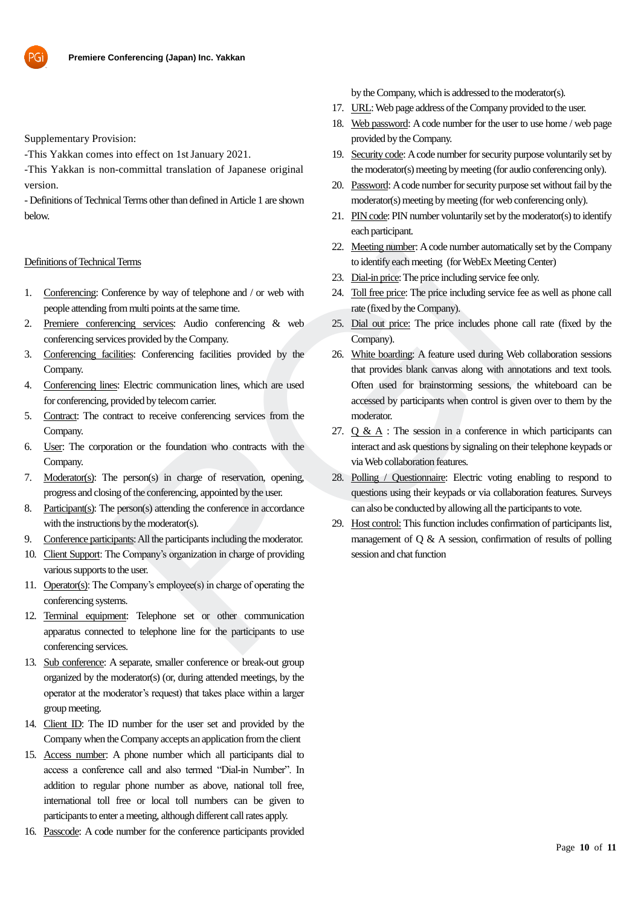

Supplementary Provision:

-This Yakkan comes into effect on 1stJanuary 2021.

-This Yakkan is non-committal translation of Japanese original version.

- Definitions of Technical Terms other than defined in Article 1 are shown below.

#### Definitions of Technical Terms

- 1. Conferencing: Conference by way of telephone and / or web with people attending from multi points at the same time.
- 2. Premiere conferencing services: Audio conferencing & web conferencing services provided by the Company.
- 3. Conferencing facilities: Conferencing facilities provided by the Company.
- 4. Conferencing lines: Electric communication lines, which are used for conferencing, provided by telecom carrier.
- 5. Contract: The contract to receive conferencing services from the Company.
- 6. User: The corporation or the foundation who contracts with the Company.
- 7. Moderator(s): The person(s) in charge of reservation, opening, progress and closing of the conferencing, appointed by the user.
- 8. Participant(s): The person(s) attending the conference in accordance with the instructions by the moderator(s).
- 9. Conference participants: All the participants including the moderator.
- 10. Client Support: The Company's organization in charge of providing various supports to the user.
- 11. Operator(s): The Company's employee(s) in charge of operating the conferencing systems.
- 12. Terminal equipment: Telephone set or other communication apparatus connected to telephone line for the participants to use conferencing services.
- 13. Sub conference: A separate, smaller conference or break-out group organized by the moderator(s) (or, during attended meetings, by the operator at the moderator's request) that takes place within a larger group meeting.
- 14. Client ID: The ID number for the user set and provided by the Company when the Company accepts an application from the client
- 15. Access number: A phone number which all participants dial to access a conference call and also termed "Dial-in Number". In addition to regular phone number as above, national toll free, international toll free or local toll numbers can be given to participants to enter a meeting, although different call rates apply.
- 16. Passcode: A code number for the conference participants provided

by the Company, which is addressed to the moderator(s).

- 17. URL: Web page address of the Company provided to the user.
- 18. Web password: A code number for the user to use home / web page provided by the Company.
- 19. Security code: A code number for security purpose voluntarily set by the moderator(s) meeting by meeting (for audio conferencing only).
- 20. Password: A code number for security purpose set without fail by the moderator(s) meeting by meeting (for web conferencing only).
- 21. PIN code: PIN number voluntarily set by the moderator(s) to identify each participant.
- 22. Meeting number: A code number automatically set by the Company to identify each meeting (forWebEx Meeting Center)
- 23. Dial-in price: The price including service fee only.
- 24. Toll free price: The price including service fee as well as phone call rate (fixed by the Company).
- 25. Dial out price: The price includes phone call rate (fixed by the Company).
- 26. White boarding: A feature used during Web collaboration sessions that provides blank canvas along with annotations and text tools. Often used for brainstorming sessions, the whiteboard can be accessed by participants when control is given over to them by the moderator. 1 Terms<br>
22. Meeting number actomatical<br>
22. Meeting way of telephone and / or web with<br>
23. Dial-Impring: The price including service for<br>
from multi points at the same time.<br>
25. Dial-Impring: The price including servic
	- 27.  $\sigma \& A$ : The session in a conference in which participants can interact and ask questions by signaling on their telephone keypads or via Web collaboration features.
	- 28. Polling / Questionnaire: Electric voting enabling to respond to questions using their keypads or via collaboration features. Surveys can also be conducted by allowing all the participants to vote.
	- 29. Host control: This function includes confirmation of participants list, management of Q & A session, confirmation of results of polling session and chat function